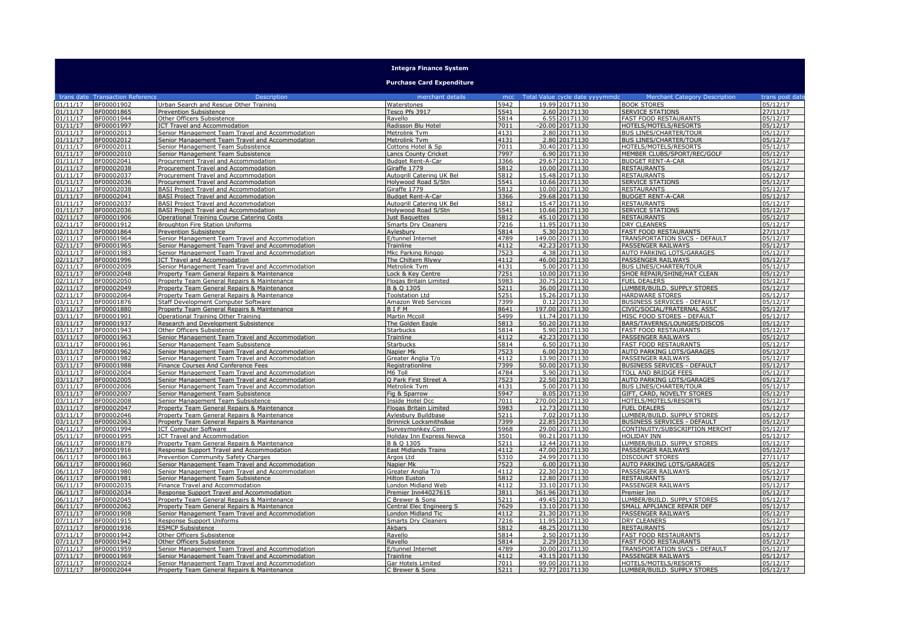## **Integra Finance System**

## **Purchase Card Expenditure**

|                      | trans date Transaction Reference | <b>Description</b>                                                                             | merchant details                               | mcc          | Total Value cycle date yyyymmdd   | Merchant Category Description                                | trans post date      |
|----------------------|----------------------------------|------------------------------------------------------------------------------------------------|------------------------------------------------|--------------|-----------------------------------|--------------------------------------------------------------|----------------------|
| 01/11/17             | BF00001902                       | Urban Search and Rescue Other Training                                                         | Waterstones                                    | 5942         | 19.99 20171130                    | <b>BOOK STORES</b>                                           | 05/12/17             |
| 01/11/17             | BF00001865                       | <b>Prevention Subsistence</b>                                                                  | Tesco Pfs 3917                                 | 5541         | 2.60 20171130                     | <b>SERVICE STATIONS</b>                                      | 27/11/17             |
| 01/11/17             | BF00001944                       | Other Officers Subsistence                                                                     | Ravello                                        | 5814         | 6.55 20171130                     | <b>FAST FOOD RESTAURANTS</b>                                 | 05/12/17             |
| 01/11/17             | BF00001997                       | <b>ICT Travel and Accommodation</b>                                                            | Radisson Blu Hotel                             | 7011         | -20.00 20171130                   | HOTELS/MOTELS/RESORTS                                        | 05/12/17             |
| 01/11/17             | BF00002013                       | Senior Management Team Travel and Accommodation                                                | Metrolink Tvm                                  | 4131         | 2.80 20171130                     | <b>BUS LINES/CHARTER/TOUR</b>                                | 05/12/17             |
| 01/11/17             | BF00002012                       | Senior Management Team Travel and Accommodation                                                | Metrolink Tvm                                  | 4131         | 2.80 20171130                     | <b>BUS LINES/CHARTER/TOUR</b>                                | 05/12/17             |
| 01/11/17             | BF00002011                       | Senior Management Team Subsistence                                                             | Cottons Hotel & Sp                             | 7011         | 30.40 20171130                    | HOTELS/MOTELS/RESORTS                                        | 05/12/17             |
| 01/11/17             | BF00002010                       | Senior Management Team Subsistence                                                             | <b>Lancs County Cricket</b>                    | 7997         | 6.90 20171130                     | MEMBER CLUBS/SPORT/REC/GOLF                                  | 05/12/17             |
| 01/11/17             | BF00002041                       | Procurement Travel and Accommodation                                                           | Budget Rent-A-Car                              | 3366         | 29.67 20171130                    | <b>BUDGET RENT-A-CAR</b>                                     | 05/12/17             |
| 01/11/17             | BF00002038                       | Procurement Travel and Accommodation                                                           | Giraffe 1779                                   | 5812         | 10.00 20171130                    | <b>RESTAURANTS</b>                                           | 05/12/17             |
| 01/11/17             | BF00002037                       | Procurement Travel and Accommodation                                                           | Autogrill Catering UK Bel                      | 5812         | 15.48 20171130                    | <b>RESTAURANTS</b>                                           | 05/12/17             |
| 01/11/17             | BF00002036                       | Procurement Travel and Accommodation                                                           | Holywood Road S/Stn                            | 5541         | 10.66 20171130                    | <b>SERVICE STATIONS</b>                                      | 05/12/17             |
| 01/11/17             | BF00002038                       | BASI Project Travel and Accommodation                                                          | Giraffe 1779                                   | 5812         | 10.00 20171130                    | <b>RESTAURANTS</b>                                           | 05/12/17             |
| 01/11/17             | BF00002041                       | <b>BASI Project Travel and Accommodation</b>                                                   | <b>Budget Rent-A-Car</b>                       | 3366         | 29.68 20171130                    | <b>BUDGET RENT-A-CAR</b>                                     | 05/12/17             |
| 01/11/17             | BF00002037                       | <b>BASI Project Travel and Accommodation</b>                                                   | Autogrill Catering UK Bel                      | 5812         | 15.47 20171130                    | <b>RESTAURANTS</b>                                           | 05/12/17             |
| 01/11/17             | BF00002036                       | <b>BASI Project Travel and Accommodation</b>                                                   | Holywood Road S/Stn                            | 5541         | 10.66 20171130                    | <b>SERVICE STATIONS</b>                                      | 05/12/17             |
| 02/11/17             | BF00001906                       | <b>Operational Training Course Catering Costs</b>                                              | Just Baquettes                                 | 5812         | 45.10 20171130                    | <b>RESTAURANTS</b>                                           | 05/12/17             |
| 02/11/17             | BF00001912                       | Broughton Fire Station Uniforms                                                                | <b>Smarts Dry Cleaners</b>                     | 7216         | 11.95 20171130                    | <b>DRY CLEANERS</b>                                          | 05/12/17             |
| 02/11/17             | BF00001864                       | Prevention Subsistence                                                                         | Aylesbury                                      | 5814         | 5.30 20171130                     | FAST FOOD RESTAURANTS                                        | 27/11/17             |
| 02/11/17             | BF00001964                       | Senior Management Team Travel and Accommodation                                                | E/tunnel Internet                              | 4789         | 149.00 20171130                   | TRANSPORTATION SVCS - DEFAULT                                | 05/12/17             |
| 02/11/17             | BF00001965                       | Senior Management Team Travel and Accommodation                                                | Trainline                                      | 4112         | 42.23 20171130                    | PASSENGER RAILWAYS                                           | 05/12/17             |
| 02/11/17<br>02/11/17 | BF00001983<br>BF00001996         | Senior Management Team Travel and Accommodation                                                | Mkc Parking Ringgo<br>The Chiltern Rlvwy       | 7523<br>4112 | 4.38 20171130<br>46.00 20171130   | AUTO PARKING LOTS/GARAGES<br>PASSENGER RAILWAYS              | 05/12/17<br>05/12/17 |
|                      |                                  | ICT Travel and Accommodation                                                                   |                                                |              |                                   |                                                              |                      |
| 02/11/17<br>02/11/17 | BF00002009<br>BF00002048         | Senior Management Team Travel and Accommodation<br>Property Team General Repairs & Maintenance | Metrolink Tvm<br>Lock & Key Centre             | 4131<br>7251 | 5.00 20171130<br>10.00 20171130   | <b>BUS LINES/CHARTER/TOUR</b><br>SHOE REPAIR/SHINE/HAT CLEAN | 05/12/17<br>05/12/17 |
| 02/11/17             | BF00002050                       | Property Team General Repairs & Maintenance                                                    | <b>Flogas Britain Limited</b>                  | 5983         | 30.75 20171130                    | <b>FUEL DEALERS</b>                                          | 05/12/17             |
| 02/11/17             | BF00002049                       | Property Team General Repairs & Maintenance                                                    | B & Q 1305                                     | 5211         | 36.00 20171130                    | LUMBER/BUILD. SUPPLY STORES                                  | 05/12/17             |
| 02/11/17             | BF00002064                       | Property Team General Repairs & Maintenance                                                    | <b>Toolstation Ltd</b>                         | 5251         | 15.26 20171130                    | <b>HARDWARE STORES</b>                                       | 05/12/17             |
| 03/11/17             | BF00001876                       | Staff Development Computer Software                                                            | Amazon Web Services                            | 7399         | 0.12 20171130                     | <b>BUSINESS SERVICES - DEFAULT</b>                           | 05/12/17             |
| 03/11/17             | BF00001880                       | Property Team General Repairs & Maintenance                                                    | BIFM                                           | 8641         | 197.00 20171130                   | CIVIC/SOCIAL/FRATERNAL ASSC                                  | 05/12/17             |
| 03/11/17             | BF00001901                       | Operational Training Other Training                                                            | <b>Martin Mccoll</b>                           | 5499         | 11.74 20171130                    | MISC FOOD STORES - DEFAULT                                   | 05/12/17             |
| 03/11/17             | BF00001937                       | Research and Development Subsistence                                                           | The Golden Eagle                               | 5813         | 50.20 20171130                    | BARS/TAVERNS/LOUNGES/DISCOS                                  | 05/12/17             |
| 03/11/17             | BF00001943                       | Other Officers Subsistence                                                                     | <b>Starbucks</b>                               | 5814         | 5.90 20171130                     | FAST FOOD RESTAURANTS                                        | 05/12/17             |
| 03/11/17             | BF00001963                       | Senior Management Team Travel and Accommodation                                                | Trainline                                      | 4112         | 42.23 20171130                    | PASSENGER RAILWAYS                                           | 05/12/17             |
| 03/11/17             | BF00001961                       | Senior Management Team Subsistence                                                             | Starbucks                                      | 5814         | 6.50 20171130                     | FAST FOOD RESTAURANTS                                        | 05/12/17             |
| 03/11/17             | BF00001962                       | Senior Management Team Travel and Accommodation                                                | Napier Mk                                      | 7523         | 6.00 20171130                     | <b>AUTO PARKING LOTS/GARAGES</b>                             | 05/12/17             |
| 03/11/17             | BF00001982                       | Senior Management Team Travel and Accommodation                                                | Greater Anglia T/o                             | 4112         | 13.90 20171130                    | PASSENGER RAILWAYS                                           | 05/12/17             |
| 03/11/17             | BF00001988                       | Finance Courses And Conference Fees                                                            | Registrationline                               | 7399         | 50.00 20171130                    | BUSINESS SERVICES - DEFAULT                                  | 05/12/17             |
| 03/11/17             | BF00002004                       | Senior Management Team Travel and Accommodation                                                | M6 Toll                                        | 4784         | 5.90 20171130                     | TOLL AND BRIDGE FEES                                         | 05/12/17             |
| 03/11/17             | BF00002005                       | Senior Management Team Travel and Accommodation                                                | Q Park First Street A                          | 7523         | 22.50 20171130                    | AUTO PARKING LOTS/GARAGES                                    | 05/12/17             |
| 03/11/17             | BF00002006                       | Senior Management Team Travel and Accommodation                                                | Metrolink Tvm                                  | 4131         | 5.00 20171130                     | <b>BUS LINES/CHARTER/TOUR</b>                                | 05/12/17             |
| 03/11/17             | BF00002007                       | Senior Management Team Subsistence                                                             | Fig & Sparrow                                  | 5947         | 8.05 20171130                     | GIFT, CARD, NOVELTY STORES                                   | 05/12/17             |
| 03/11/17             | BF00002008                       | Senior Management Team Subsistence                                                             | Inside Hotel Dcc                               | 7011         | 270.00 20171130                   | HOTELS/MOTELS/RESORTS                                        | 05/12/17             |
| 03/11/17             | BF00002047                       | Property Team General Repairs & Maintenance                                                    | Flogas Britain Limited                         | 5983         | 12.73 20171130                    | <b>FUEL DEALERS</b>                                          | 05/12/17             |
| 03/11/17             | BF00002046                       | Property Team General Repairs & Maintenance                                                    | Aylesbury Buildbase                            | 5211         | 7.02 20171130                     | LUMBER/BUILD. SUPPLY STORES                                  | 05/12/17             |
| 03/11/17             | BF00002063                       | Property Team General Repairs & Maintenance                                                    | Brinnick Locksmiths&se                         | 7399         | 22.85 20171130                    | BUSINESS SERVICES - DEFAULT                                  | 05/12/17             |
| 04/11/17             | BF00001994                       | <b>ICT Computer Software</b>                                                                   | Surveymonkey.Com                               | 5968         | 29.00 20171130                    | CONTINUITY/SUBSCRIPTION MERCHT                               | 05/12/17             |
| 05/11/17             | BF00001995                       | ICT Travel and Accommodation                                                                   | Holiday Inn Express Newca                      | 3501         | 90.21 20171130                    | <b>HOLIDAY INN</b>                                           | 05/12/17             |
| 06/11/17             | BF00001879                       | Property Team General Repairs & Maintenance                                                    | B & O 1305                                     | 5211         | 12.44 20171130                    | LUMBER/BUILD, SUPPLY STORES                                  | 05/12/17             |
| 06/11/17             | BF00001916                       | Response Support Travel and Accommodation                                                      | <b>East Midlands Trains</b>                    | 4112         | 47.00 20171130                    | PASSENGER RAILWAYS                                           | 05/12/17             |
| 06/11/17             | BF00001863                       | Prevention Community Safety Charges                                                            | Argos Ltd                                      | 5310         | 24.99 20171130                    | DISCOUNT STORES                                              | 27/11/17             |
| 06/11/17             | BF00001960                       | Senior Management Team Travel and Accommodation                                                | Napier Mk                                      | 7523         | 6.00 20171130                     | AUTO PARKING LOTS/GARAGES                                    | 05/12/17             |
| 06/11/17             | BF00001980                       | Senior Management Team Travel and Accommodation                                                | Greater Anglia T/o                             | 4112         | 22.30 20171130                    | PASSENGER RAILWAYS                                           | 05/12/17             |
| 06/11/17             | BF00001981                       | Senior Management Team Subsistence                                                             | Hilton Euston                                  | 5812         | 12.80 20171130                    | <b>RESTAURANTS</b>                                           | 05/12/17             |
| 06/11/17             | BF00002035                       | Finance Travel and Accommodation                                                               | London Midland Web                             | 4112         | 33.10 20171130                    | PASSENGER RAILWAYS                                           | 05/12/17             |
| 06/11/17<br>06/11/17 | BF00002034                       | Response Support Travel and Accommodation                                                      | Premier Inn44027615                            | 3811<br>5211 | 361.96 20171130<br>49.45 20171130 | Premier Inn                                                  | 05/12/17<br>05/12/17 |
| 06/11/17             | BF00002045<br>BF00002062         | Property Team General Repairs & Maintenance                                                    | C Brewer & Sons                                | 7629         | 13.10 20171130                    | LUMBER/BUILD. SUPPLY STORES<br>SMALL APPLIANCE REPAIR DEF    | 05/12/17             |
| 07/11/17             | BF00001908                       | Property Team General Repairs & Maintenance                                                    | Central Elec Engineerg S<br>London Midland Tic | 4112         | 21.30 20171130                    | PASSENGER RAILWAYS                                           | 05/12/17             |
| 07/11/17             | BF00001915                       | Senior Management Team Travel and Accommodation<br>Response Support Uniforms                   | <b>Smarts Drv Cleaners</b>                     | 7216         | 11.95 20171130                    | <b>DRY CLEANERS</b>                                          | 05/12/17             |
| 07/11/17             | BF00001936                       | <b>ESMCP Subsistence</b>                                                                       | Akbars                                         | 5812         | 48.25 20171130                    | <b>RESTAURANTS</b>                                           | 05/12/17             |
| 07/11/17             | BF00001942                       | Other Officers Subsistence                                                                     | Ravello                                        | 5814         | 2.50 20171130                     | FAST FOOD RESTAURANTS                                        | 05/12/17             |
| 07/11/17             | BF00001942                       | Other Officers Subsistence                                                                     | Ravello                                        | 5814         | 2.29 20171130                     | <b>FAST FOOD RESTAURANTS</b>                                 | 05/12/17             |
| 07/11/17             | BF00001959                       | Senior Management Team Travel and Accommodation                                                | E/tunnel Internet                              | 4789         | 30.00 20171130                    | TRANSPORTATION SVCS - DEFAULT                                | 05/12/17             |
| 07/11/17             | BF00001969                       | Senior Management Team Travel and Accommodation                                                | Trainline                                      | 4112         | 43.15 20171130                    | PASSENGER RAILWAYS                                           | 05/12/17             |
| 07/11/17             | BF00002024                       | Senior Management Team Travel and Accommodation                                                | Gar Hotels Limited                             | 7011         | 99.00 20171130                    | HOTELS/MOTELS/RESORTS                                        | 05/12/17             |
| 07/11/17             | BF00002044                       | Property Team General Repairs & Maintenance                                                    | C Brewer & Sons                                | 5211         | 92.77 20171130                    | LUMBER/BUILD. SUPPLY STORES                                  | 05/12/17             |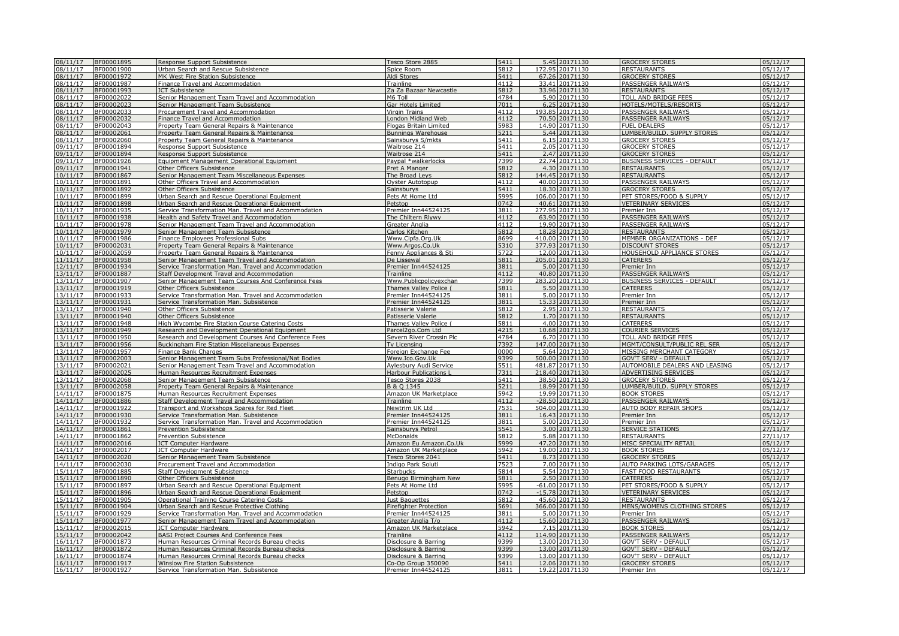| 08/11/17             | BF00001895 | Response Support Subsistence                                                                    | Tesco Store 2885              | 5411             |          | 5.45 20171130     | <b>GROCERY STORES</b>              | 05/12/17 |
|----------------------|------------|-------------------------------------------------------------------------------------------------|-------------------------------|------------------|----------|-------------------|------------------------------------|----------|
| 08/11/17             | BF00001900 | Urban Search and Rescue Subsistence                                                             | Spice Room                    | 5812             |          | 172.95 20171130   | <b>RESTAURANTS</b>                 | 05/12/17 |
|                      | BF00001972 |                                                                                                 |                               | 5411             | 67.26    | 20171130          |                                    | 05/12/17 |
| 08/11/17             |            | MK West Fire Station Subsistence                                                                | Aldi Stores                   |                  |          |                   | <b>GROCERY STORES</b>              |          |
| 08/11/17             | BF00001987 | Finance Travel and Accommodation                                                                | Trainline                     | 4112             | 33.41    | 20171130          | PASSENGER RAILWAYS                 | 05/12/17 |
| 08/11/17             | BF00001993 | <b>ICT Subsistence</b>                                                                          | Za Za Bazaar Newcastle        | 5812             | 33.96    | 20171130          | <b>RESTAURANTS</b>                 | 05/12/17 |
| 08/11/17             | BF00002022 | Senior Management Team Travel and Accommodation                                                 | M6 Toll                       | 4784             | 5.90     | 20171130          | TOLL AND BRIDGE FEES               | 05/12/17 |
| 08/11/17             | BF00002023 | Senior Management Team Subsistence                                                              | Gar Hotels Limited            | 7011             | 6.25     | 20171130          | HOTELS/MOTELS/RESORTS              | 05/12/17 |
| 08/11/17             | BF00002033 | Procurement Travel and Accommodation                                                            | Virgin Trains                 | 4112             | 193.85   | 20171130          | PASSENGER RAILWAYS                 | 05/12/17 |
| 08/11/17             | BF00002032 | Finance Travel and Accommodation                                                                | London Midland Web            | 4112             |          | 70.50 20171130    | <b>PASSENGER RAILWAYS</b>          | 05/12/17 |
| 08/11/17             | BF00002043 | Property Team General Repairs & Maintenance                                                     | <b>Flogas Britain Limited</b> | 5983             |          | 14.90 20171130    | <b>FUEL DEALERS</b>                | 05/12/17 |
| 08/11/17             | BF00002061 | Property Team General Repairs & Maintenance                                                     | Bunnings Warehouse            | 5211             |          | 5.44 20171130     | LUMBER/BUILD. SUPPLY STORES        | 05/12/17 |
| 08/11/17             | BF00002060 | Property Team General Repairs & Maintenance                                                     | Sainsburys S/mkts             | 5411             |          | 6.15 20171130     | <b>GROCERY STORES</b>              | 05/12/17 |
| 09/11/17             | BF00001894 | Response Support Subsistence                                                                    | Waitrose 214                  | 5411             | 2.05     | 20171130          | <b>GROCERY STORES</b>              | 05/12/17 |
| 09/11/17             | BF00001894 | Response Support Subsistence                                                                    | Waitrose 214                  | 5411             | 2.47     | 20171130          | <b>GROCERY STORES</b>              | 05/12/17 |
| 09/11/17             | BF00001926 |                                                                                                 | Paypal *walkerlocks           | 7399             |          | 22.74 20171130    | <b>BUSINESS SERVICES - DEFAULT</b> | 05/12/17 |
|                      |            | <b>Equipment Management Operational Equipment</b>                                               |                               |                  |          |                   |                                    |          |
| 09/11/17             | BF00001941 | Other Officers Subsistence                                                                      | Pret A Manger                 | 5812             |          | 4.30 20171130     | <b>RESTAURANTS</b>                 | 05/12/17 |
| 0/11/17              | BF00001867 | Senior Management Team Miscellaneous Expenses                                                   | The Broad Leys                | 5812             |          | 144.45 20171130   | <b>RESTAURANTS</b>                 | 05/12/17 |
| 10/11/17             | BF00001891 | Other Officers Travel and Accommodation                                                         | Oyster Autotopup              | 4112             |          | 40.00 20171130    | PASSENGER RAILWAYS                 | 05/12/17 |
| 10/11/17             | BF00001892 | Other Officers Subsistence                                                                      | Sainsburys                    | 5411             |          | 18.30 20171130    | <b>GROCERY STORES</b>              | 05/12/17 |
| 10/11/17             | BF00001899 | Urban Search and Rescue Operational Equipment                                                   | Pets At Home Ltd              | 5995             |          | 106.00 20171130   | PET STORES/FOOD & SUPPLY           | 05/12/17 |
| 10/11/17             | BF00001898 | Urban Search and Rescue Operational Equipment                                                   | Petstop                       | 0742             |          | 40.61 20171130    | <b>VETERINARY SERVICES</b>         | 05/12/17 |
| 10/11/17             | BF00001935 | Service Transformation Man. Travel and Accommodation                                            | Premier Inn44524125           | 3811             |          | 277.95 20171130   | Premier Inn                        | 05/12/17 |
| 10/11/17             | BF00001938 | Health and Safety Travel and Accommodation                                                      | The Chiltern Rlywy            | 4112             |          | 63.90 20171130    | <b>PASSENGER RAILWAYS</b>          | 05/12/17 |
| 0/11/17              | BF00001978 | Senior Management Team Travel and Accommodation                                                 | Greater Anglia                | 4112             |          | 19.90 20171130    | PASSENGER RAILWAYS                 | 05/12/17 |
| 0/11/17              | BF00001979 | Senior Management Team Subsistence                                                              | Carlos Kitchen                | 5812             |          | 18.28 20171130    | <b>RESTAURANTS</b>                 | 05/12/17 |
| 0/11/17              | BF00001986 | Finance Employees Professional Subs                                                             | Www.Cipfa.Org.Uk              | 8699             |          | 410.00 20171130   | MEMBER ORGANIZATIONS - DEF         | 05/12/17 |
| 10/11/17             | BF00002031 | Property Team General Repairs & Maintenance                                                     | Www.Argos.Co.Uk               | 5310             | 377.93   | 20171130          | <b>DISCOUNT STORES</b>             | 05/12/17 |
| 10/11/17             | BF00002059 | Property Team General Repairs & Maintenance                                                     | Fenny Appliances & Sti        | $\frac{1}{5722}$ |          | 12.00 20171130    | HOUSEHOLD APPLIANCE STORES         | 05/12/17 |
| 11/11/17             | BF00001958 | Senior Management Team Travel and Accommodation                                                 | De Lissewal                   | 5811             |          | 205.01 20171130   | <b>CATERERS</b>                    | 05/12/17 |
| 12/11/17             | BF00001934 | Service Transformation Man. Travel and Accommodation                                            | Premier Inn44524125           | 3811             |          | 5.00 20171130     | Premier Inn                        | 05/12/17 |
|                      |            |                                                                                                 | Trainline                     | 4112             |          | 40.80 20171130    |                                    | 05/12/17 |
| 13/11/17<br>13/11/17 | BF00001887 | Staff Development Travel and Accommodation                                                      |                               | 7399             |          |                   | PASSENGER RAILWAYS                 |          |
|                      | BF00001907 | Senior Management Team Courses And Conference Fees                                              | Www.Publicpolicyexchan        |                  |          | 283.20 20171130   | <b>BUSINESS SERVICES - DEFAULT</b> | 05/12/17 |
| 13/11/17             | BF00001919 | Other Officers Subsistence                                                                      | Thames Valley Police (        | 5811             |          | 5.50 20171130     | <b>CATERERS</b>                    | 05/12/17 |
| 13/11/17             | BF00001933 | Service Transformation Man. Travel and Accommodation                                            | Premier Inn44524125           | 3811             |          | 5.00 20171130     | Premier Inn                        | 05/12/17 |
| 13/11/17             | BF00001931 | Service Transformation Man. Subsistence                                                         | Premier Inn44524125           | 3811             |          | 15.33 20171130    | Premier Inn                        | 05/12/17 |
| 13/11/17             | BF00001940 | Other Officers Subsistence                                                                      | Patisserie Valerie            | 5812             |          | 2.95 20171130     | <b>RESTAURANTS</b>                 | 05/12/17 |
| 13/11/17             | BF00001940 | Other Officers Subsistence                                                                      | Patisserie Valerie            | 5812             |          | 1.70 20171130     | <b>RESTAURANTS</b>                 | 05/12/17 |
| 13/11/17             | BF00001948 | High Wycombe Fire Station Course Catering Costs                                                 | Thames Valley Police (        | 5811             |          | 4.00 20171130     | CATERERS                           | 05/12/17 |
| 13/11/17             | BF00001949 | Research and Development Operational Equipment                                                  | Parcel2go.Com Ltd             | 4215             |          | 10.68 20171130    | <b>COURIER SERVICES</b>            | 05/12/17 |
| 13/11/17             | BF00001950 | Research and Development Courses And Conference Fees                                            | Severn River Crossin Plc      | 4784             |          | 6.70 20171130     | <b>TOLL AND BRIDGE FEES</b>        | 05/12/17 |
| 13/11/17             | BF00001956 | Buckingham Fire Station Miscellaneous Expenses                                                  | Tv Licensing                  | 7392             |          | 147.00 20171130   | MGMT/CONSULT/PUBLIC REL SER        | 05/12/17 |
| 13/11/17             | BF00001957 | Finance Bank Charges                                                                            | Foreign Exchange Fee          | 0000             |          | 5.64 20171130     | MISSING MERCHANT CATEGORY          | 05/12/17 |
| 13/11/17             | BF00002003 | Senior Management Team Subs Professional/Nat Bodies                                             | Www.Ico.Gov.Uk                | 9399             |          | 500.00 20171130   | <b>GOV'T SERV - DEFAULT</b>        | 05/12/17 |
| 13/11/17             | BF00002021 | Senior Management Team Travel and Accommodation                                                 | Aylesbury Audi Service        | 5511             |          | 481.87 20171130   | AUTOMOBILE DEALERS AND LEASING     | 05/12/17 |
| 13/11/17             | BF00002025 | Human Resources Recruitment Expenses                                                            | <b>Harbour Publications L</b> | 7311             |          | 218.40 20171130   | ADVERTISING SERVICES               | 05/12/17 |
| .3/11/17             | BF00002068 | Senior Management Team Subsistence                                                              | Tesco Stores 2038             | 5411             |          | 38.50 20171130    | <b>GROCERY STORES</b>              | 05/12/17 |
| 3/11/17              | BF00002058 | Property Team General Repairs & Maintenance                                                     | B & O 1345                    | 5211             | 18.99    | 20171130          | LUMBER/BUILD, SUPPLY STORES        | 05/12/17 |
| 14/11/17             | BF00001875 | Human Resources Recruitment Expenses                                                            | Amazon UK Marketplace         | 5942             | 19.99    | 20171130          | <b>BOOK STORES</b>                 | 05/12/17 |
| 14/11/17             | BF00001886 | Staff Development Travel and Accommodation                                                      | Trainline                     | 4112             | $-28.50$ | 20171130          | PASSENGER RAILWAYS                 | 05/12/17 |
| 14/11/17             | BF00001922 | Transport and Workshops Spares for Red Fleet                                                    | Newtrim UK Ltd                | 7531             | 504.00   | 20171130          | AUTO BODY REPAIR SHOPS             | 05/12/17 |
| 4/11/17              | BF00001930 |                                                                                                 | Premier Inn44524125           | 3811             | 16.43    | 20171130          |                                    | 05/12/17 |
| 4/11/17              | BF00001932 | Service Transformation Man. Subsistence<br>Service Transformation Man. Travel and Accommodation |                               | 3811             |          | 5.00 20171130     | Premier Inn<br>Premier Inn         | 05/12/17 |
|                      |            |                                                                                                 | Premier Inn44524125           |                  |          |                   |                                    |          |
| 14/11/17             | BF00001861 | <b>Prevention Subsistence</b>                                                                   | Sainsburys Petrol             | 5541             | 3.00     | 20171130          | <b>SERVICE STATIONS</b>            | 27/11/17 |
| 14/11/17             | BF00001862 | Prevention Subsistence                                                                          | McDonalds                     | 5812             |          | 5.88 20171130     | <b>RESTAURANTS</b>                 | 27/11/17 |
| 14/11/17             | BF00002016 | <b>ICT Computer Hardware</b>                                                                    | Amazon Eu Amazon.Co.Uk        | 5999             |          | 47.20 20171130    | MISC SPECIALITY RETAIL             | 05/12/17 |
| 4/11/17              | BF00002017 | <b>ICT Computer Hardware</b>                                                                    | Amazon UK Marketplace         | 5942             |          | 19.00 20171130    | <b>BOOK STORES</b>                 | 05/12/17 |
| 4/11/17              | BF00002020 | Senior Management Team Subsistence                                                              | Tesco Stores 2041             | 5411             | 8.73     | 20171130          | <b>GROCERY STORES</b>              | 05/12/17 |
| .4/11/17             | BF00002030 | Procurement Travel and Accommodation                                                            | Indigo Park Soluti            | 7523             | 7.00     | 20171130          | <b>AUTO PARKING LOTS/GARAGES</b>   | 05/12/17 |
| 15/11/17             | BF00001885 | <b>Staff Development Subsistence</b>                                                            | <b>Starbucks</b>              | 5814             |          | 5.54 20171130     | <b>FAST FOOD RESTAURANTS</b>       | 05/12/17 |
| 15/11/17             | BF00001890 | Other Officers Subsistence                                                                      | Benugo Birmingham New         | 5811             |          | 2.50 20171130     | <b>CATERERS</b>                    | 05/12/17 |
| 15/11/17             | BF00001897 | Urban Search and Rescue Operational Equipment                                                   | Pets At Home Ltd              | 5995             |          | -61.00 20171130   | PET STORES/FOOD & SUPPLY           | 05/12/17 |
| 15/11/17             | BF00001896 | Urban Search and Rescue Operational Equipment                                                   | Petstop                       | 0742             |          | $-15.78$ 20171130 | <b>VETERINARY SERVICES</b>         | 05/12/17 |
| 15/11/17             | BF00001905 | Operational Training Course Catering Costs                                                      | Just Baquettes                | 5812             |          | 45.60 20171130    | <b>RESTAURANTS</b>                 | 05/12/17 |
| 15/11/17             | BF00001904 | Urban Search and Rescue Protective Clothing                                                     | <b>Firefighter Protection</b> | 5691             |          | 366.00 20171130   | MENS/WOMENS CLOTHING STORES        | 05/12/17 |
| 15/11/17             | BF00001929 | Service Transformation Man. Travel and Accommodation                                            | Premier Inn44524125           | 3811             |          | 5.00 20171130     | Premier Inn                        | 05/12/17 |
| 15/11/17             | BF00001977 | Senior Management Team Travel and Accommodation                                                 | Greater Anglia T/o            | 4112             |          | 15.60 20171130    | PASSENGER RAILWAYS                 | 05/12/17 |
| 15/11/17             | BF00002015 | <b>ICT Computer Hardware</b>                                                                    | Amazon UK Marketplace         | 5942             |          | 7.15 20171130     | <b>BOOK STORES</b>                 | 05/12/17 |
| 5/11/17              | BF00002042 | <b>BASI Project Courses And Conference Fees</b>                                                 | Trainline                     | 4112             |          | 114.90 20171130   | PASSENGER RAILWAYS                 | 05/12/17 |
| .6/11/17             | BF00001873 | Human Resources Criminal Records Bureau checks                                                  | Disclosure & Barring          | 9399             |          | 13.00 20171130    | GOV'T SERV - DEFAULT               | 05/12/17 |
| .6/11/17             | BF00001872 | Human Resources Criminal Records Bureau checks                                                  | Disclosure & Barring          | 9399             | 13.00    | 20171130          | GOV'T SERV - DEFAULT               | 05/12/17 |
| 16/11/17             | BF00001874 | Human Resources Criminal Records Bureau checks                                                  | Disclosure & Barring          | 9399             | 13.00    | 20171130          | <b>GOV'T SERV - DEFAULT</b>        | 05/12/17 |
| 16/11/17             | BF00001917 | Winslow Fire Station Subsistence                                                                | Co-Op Group 350090            | $\frac{1}{5411}$ |          | 12.06 20171130    | <b>GROCERY STORES</b>              | 05/12/17 |
| 16/11/17             | BF00001927 | Service Transformation Man. Subsistence                                                         | Premier Inn44524125           | 3811             |          | 19.22 20171130    | Premier Inn                        | 05/12/17 |
|                      |            |                                                                                                 |                               |                  |          |                   |                                    |          |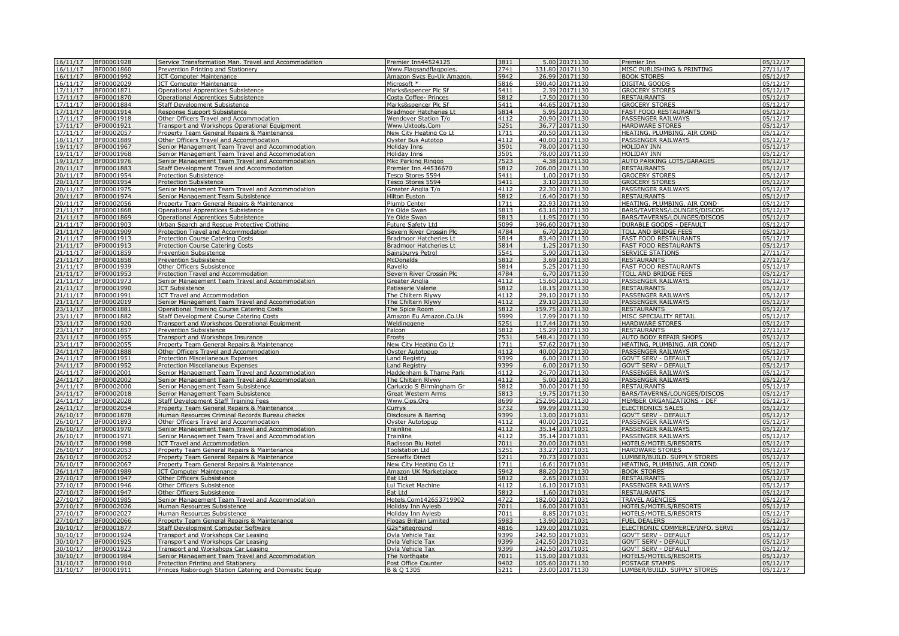| 16/11/17 | BF00001928         | Service Transformation Man. Travel and Accommodation   | Premier Inn44524125           | 3811 |       | 5.00 20171130   | Premier Inn                     | 05/12/17              |
|----------|--------------------|--------------------------------------------------------|-------------------------------|------|-------|-----------------|---------------------------------|-----------------------|
| 16/11/17 | BF00001860         | Prevention Printing and Stationery                     | Www.Flagsandflagpoles         | 2741 |       | 331.80 20171130 | MISC PUBLISHING & PRINTING      | 27/11/17              |
|          |                    |                                                        |                               |      |       |                 |                                 |                       |
| 16/11/17 | BF00001992         | <b>ICT Computer Maintenance</b>                        | Amazon Sycs Eu-Uk Amazon.     | 5942 |       | 26.99 20171130  | <b>BOOK STORES</b>              | 05/12/17              |
| 16/11/17 | BF00002029         | <b>ICT Computer Maintenance</b>                        | Microsoft *                   | 5816 |       | 590.40 20171130 | <b>DIGITAL GOODS</b>            | 05/12/17              |
| 17/11/17 | BF00001871         | <b>Operational Apprentices Subsistence</b>             | Marks&spencer Plc Sf          | 5411 |       | 2.39 20171130   | <b>GROCERY STORES</b>           | 05/12/17              |
| 17/11/17 | BF00001870         | <b>Operational Apprentices Subsistence</b>             | Costa Coffee- Princes         | 5812 |       | 17.50 20171130  | <b>RESTAURANTS</b>              | 05/12/17              |
| 17/11/17 | BF00001884         | <b>Staff Development Subsistence</b>                   | Marks&spencer Plc Sf          | 5411 | 44.65 | 20171130        | <b>GROCERY STORES</b>           | 05/12/17              |
| 17/11/17 | BF00001914         |                                                        |                               | 5814 | 595   | 20171130        | <b>FAST FOOD RESTAURANTS</b>    | 05/12/17              |
|          |                    | Response Support Subsistence                           | <b>Bradmoor Hatcheries Lt</b> |      |       |                 |                                 |                       |
| 17/11/17 | BF00001918         | Other Officers Travel and Accommodation                | Wendover Station T/o          | 4112 | 20.90 | 20171130        | PASSENGER RAILWAYS              | 05/12/17              |
| 17/11/17 | BF00001921         | Transport and Workshops Operational Equipment          | Www.Uktools.Com               | 5251 | 36.77 | 20171130        | <b>HARDWARE STORES</b>          | 05/12/17              |
| 17/11/17 | BF00002057         | Property Team General Repairs & Maintenance            | New City Heating Co Lt        | 1711 |       | 20.50 20171130  | HEATING, PLUMBING, AIR COND     | 05/12/17              |
| 18/11/17 | BF00001889         | Other Officers Travel and Accommodation                | Oyster Bus Autotop            | 4112 |       | 40.00 20171130  | PASSENGER RAILWAYS              | 05/12/17              |
| 19/11/17 | BF00001967         | Senior Management Team Travel and Accommodation        | Holiday Inns                  | 3501 |       | 78.00 20171130  | <b>HOLIDAY INN</b>              | 05/12/17              |
| 19/11/17 | BF00001968         | Senior Management Team Travel and Accommodation        | Holiday Inns                  | 3501 |       | 78.00 20171130  | <b>HOLIDAY INN</b>              | 05/12/17              |
| 19/11/17 | BF00001976         | Senior Management Team Travel and Accommodation        | Mkc Parking Ringgo            | 7523 |       | 4.38 20171130   | AUTO PARKING LOTS/GARAGES       | 05/12/17              |
| 20/11/17 |                    |                                                        |                               |      |       |                 |                                 | 05/12/17              |
|          | BF00001883         | Staff Development Travel and Accommodation             | Premier Inn 44536670          | 5812 |       | 206.00 20171130 | <b>RESTAURANTS</b>              |                       |
| 20/11/17 | BF00001954         | <b>Protection Subsistence</b>                          | Tesco Stores 5594             | 5411 |       | 1.00 20171130   | <b>GROCERY STORES</b>           | 05/12/17              |
| 20/11/17 | BF00001954         | <b>Protection Subsistence</b>                          | Tesco Stores 5594             | 5411 |       | 3.10 20171130   | <b>GROCERY STORES</b>           | 05/12/17              |
| 20/11/17 | BF00001975         | Senior Management Team Travel and Accommodation        | Greater Anglia T/o            | 4112 |       | 22.30 20171130  | PASSENGER RAILWAYS              | 05/12/17              |
| 20/11/17 | BF00001974         | Senior Management Team Subsistence                     | <b>Hilton Euston</b>          | 5812 |       | 16.40 20171130  | <b>RESTAURANTS</b>              | 05/12/17              |
| 20/11/17 | BF00002056         | Property Team General Repairs & Maintenance            | Plumb Center                  | 1711 |       | 22.93 20171130  | HEATING, PLUMBING, AIR COND     | 05/12/17              |
| 21/11/17 | BF00001868         | Operational Apprentices Subsistence                    | Ye Olde Swan                  | 5813 |       | 63.16 20171130  | BARS/TAVERNS/LOUNGES/DISCOS     | 05/12/17              |
| 21/11/17 | BF00001869         | Operational Apprentices Subsistence                    | Ye Olde Swan                  | 5813 |       | 11.95 20171130  | BARS/TAVERNS/LOUNGES/DISCOS     | 05/12/17              |
| 21/11/17 | BF00001903         | Urban Search and Rescue Protective Clothing            | Future Safety Ltd             | 5099 |       | 396.60 20171130 | <b>DURABLE GOODS - DEFAULT</b>  | 05/12/17              |
|          |                    |                                                        |                               |      |       |                 |                                 |                       |
| 21/11/17 | BF00001909         | Protection Travel and Accommodation                    | Severn River Crossin Plc      | 4784 |       | 6.70 20171130   | TOLL AND BRIDGE FEES            | 05/12/17              |
| 21/11/17 | BF00001913         | Protection Course Catering Costs                       | <b>Bradmoor Hatcheries Lt</b> | 5814 |       | 83.40 20171130  | <b>FAST FOOD RESTAURANTS</b>    | 05/12/17              |
| 21/11/17 | BF00001913         | <b>Protection Course Catering Costs</b>                | <b>Bradmoor Hatcheries Lt</b> | 5814 |       | 1.25 20171130   | <b>FAST FOOD RESTAURANTS</b>    | 05/12/17              |
| 21/11/17 | BF00001859         | <b>Prevention Subsistence</b>                          | Sainsburys Petrol             | 5541 |       | 5.90 20171130   | <b>SERVICE STATIONS</b>         | 27/11/17              |
| 21/11/17 | BF00001858         | <b>Prevention Subsistence</b>                          | McDonalds                     | 5812 |       | 3.69 20171130   | <b>RESTAURANTS</b>              | 27/11/17              |
| 21/11/17 | BF00001939         | Other Officers Subsistence                             | Ravello                       | 5814 | 5.25  | 20171130        | <b>FAST FOOD RESTAURANTS</b>    | 05/12/17              |
| 21/11/17 | BF00001953         | Protection Travel and Accommodation                    | Severn River Crossin Plc      | 4784 |       | 6.70 20171130   | TOLL AND BRIDGE FEES            | 05/12/17              |
| 21/11/17 | BF00001973         |                                                        |                               | 4112 |       | 15.60 20171130  | PASSENGER RAILWAYS              | 05/12/17              |
|          |                    | Senior Management Team Travel and Accommodation        | Greater Anglia                |      |       |                 |                                 |                       |
| 21/11/17 | BF00001990         | <b>ICT Subsistence</b>                                 | Patisserie Valerie            | 5812 |       | 18.15 20171130  | <b>RESTAURANTS</b>              | 05/12/17              |
| 21/11/17 | BF00001991         | <b>ICT Travel and Accommodation</b>                    | The Chiltern Rlywy            | 4112 |       | 29.10 20171130  | PASSENGER RAILWAYS              | 05/12/17              |
| 21/11/17 | BF00002019         | Senior Management Team Travel and Accommodation        | The Chiltern Rlywy            | 4112 |       | 29.10 20171130  | PASSENGER RAILWAYS              | 05/12/17              |
| 23/11/17 | BF00001881         | Operational Training Course Catering Costs             | The Spice Room                | 5812 |       | 159.75 20171130 | <b>RESTAURANTS</b>              | 05/12/17              |
| 23/11/17 | BF00001882         | <b>Staff Development Course Catering Costs</b>         | Amazon Eu Amazon.Co.Uk        | 5999 |       | 17.99 20171130  | MISC SPECIALITY RETAIL          | 05/12/17              |
| 23/11/17 | BF00001920         | Transport and Workshops Operational Equipment          | Weldinggene                   | 5251 |       | 117.44 20171130 | <b>HARDWARE STORES</b>          | 05/12/17              |
|          |                    |                                                        |                               | 5812 |       |                 |                                 |                       |
| 23/11/17 | BF00001857         | <b>Prevention Subsistence</b>                          | Falcon                        |      |       | 15.29 20171130  | <b>RESTAURANTS</b>              | 27/11/17              |
| 23/11/17 | BF00001955         | Transport and Workshops Insurance                      | Frosts                        | 7531 |       | 548.41 20171130 | <b>AUTO BODY REPAIR SHOPS</b>   | 05/12/17              |
| 23/11/17 | BF00002055         | Property Team General Repairs & Maintenance            | New City Heating Co Lt        | 1711 |       | 57.62 20171130  | HEATING, PLUMBING, AIR COND     | 05/12/17              |
| 24/11/17 | BF00001888         | Other Officers Travel and Accommodation                | Ovster Autotopup              | 4112 |       | 40.00 20171130  | PASSENGER RAILWAYS              | 05/12/17              |
| 24/11/17 | BF00001951         | Protection Miscellaneous Expenses                      | Land Registry                 | 9399 |       | 6.00 20171130   | <b>GOV'T SERV - DEFAULT</b>     | 05/12/17              |
| 24/11/17 | BF00001952         | Protection Miscellaneous Expenses                      | <b>Land Registry</b>          | 9399 |       | 6.00 20171130   | <b>GOV'T SERV - DEFAULT</b>     | 05/12/17              |
| 24/11/17 | BF00002001         | Senior Management Team Travel and Accommodation        | Haddenham & Thame Park        | 4112 |       | 24.70 20171130  | <b>PASSENGER RAILWAYS</b>       | 05/12/17              |
| 24/11/17 | BF00002002         | Senior Management Team Travel and Accommodation        | The Chiltern Rlywy            | 4112 |       | 5.00 20171130   | <b>PASSENGER RAILWAYS</b>       | 05/12/17              |
| 24/11/17 |                    |                                                        |                               |      |       |                 |                                 |                       |
|          | BF00002000         | Senior Management Team Subsistence                     | Carluccio S Birmingham Gr     | 5812 |       | 30.00 20171130  | <b>RESTAURANTS</b>              | 05/12/17              |
| 24/11/17 | BF00002018         | Senior Management Team Subsistence                     | <b>Great Western Arms</b>     | 5813 |       | 19.75 20171130  | BARS/TAVERNS/LOUNGES/DISCOS     | 05/12/17              |
| 24/11/17 | BF000 <u>02028</u> | <b>Staff Development Staff Training Fees</b>           | Www.Cips.Org                  | 8699 |       | 252.96 20171130 | MEMBER ORGANIZATIONS - DEF      | 05/12/17              |
| 24/11/17 | BF00002054         | Property Team General Repairs & Maintenance            | Currys                        | 5732 | 99.99 | 20171130        | <b>ELECTRONICS SALES</b>        | 05/12/17              |
| 26/10/17 | BF00001878         | Human Resources Criminal Records Bureau checks         | Disclosure & Barring          | 9399 | 13.00 | 20171031        | <b>GOV'T SERV - DEFAUL</b>      | 05/12/17              |
| 26/10/17 | BF00001893         | Other Officers Travel and Accommodation                | Oyster Autotopup              | 4112 | 40.00 | 20171031        | PASSENGER RAILWAYS              | 05/12/17              |
| 26/10/17 | BF00001970         | Senior Management Team Travel and Accommodation        | Trainline                     | 4112 |       | 35.14 20171031  | PASSENGER RAILWAYS              | 05/12/17              |
| 26/10/17 | BF00001971         |                                                        | Trainline                     | 4112 |       | 35.14 2017103:  | PASSENGER RAILWAYS              | $\overline{05/12/17}$ |
| 26/10/17 |                    | Senior Management Team Travel and Accommodation        |                               | 7011 |       |                 |                                 | 05/12/17              |
|          | BF00001998         | <b>ICT Travel and Accommodation</b>                    | Radisson Blu Hotel            |      |       | 20.00 20171031  | HOTELS/MOTELS/RESORTS           |                       |
| 26/10/17 | BF00002053         | Property Team General Repairs & Maintenance            | <b>Toolstation Ltd</b>        | 5251 |       | 33.27 20171031  | <b>HARDWARE STORES</b>          | 05/12/17              |
| 26/10/17 | BF00002052         | Property Team General Repairs & Maintenance            | <b>Screwfix Direct</b>        | 5211 |       | 70.73 20171031  | LUMBER/BUILD. SUPPLY STORES     | 05/12/17              |
| 26/10/17 | BF00002067         | Property Team General Repairs & Maintenance            | New City Heating Co Lt        | 1711 |       | 16.61 20171031  | HEATING, PLUMBING, AIR COND     | 05/12/17              |
| 26/11/17 | BF00001989         | <b>ICT Computer Maintenance</b>                        | Amazon UK Marketplace         | 5942 |       | 88.20 20171130  | <b>BOOK STORES</b>              | 05/12/17              |
| 27/10/17 | BF00001947         | Other Officers Subsistence                             | Eat Ltd                       | 5812 |       | 2.65 20171031   | <b>RESTAURANTS</b>              | 05/12/17              |
| 27/10/17 | BF00001946         | Other Officers Subsistence                             | Lul Ticket Machine            | 4112 |       | 16.10 2017103:  | PASSENGER RAILWAYS              | 05/12/17              |
| 27/10/17 | BF00001947         | Other Officers Subsistence                             | Eat Ltd                       | 5812 |       | 1.60 20171031   | <b>RESTAURANTS</b>              | 05/12/17              |
|          |                    |                                                        |                               |      |       |                 |                                 |                       |
| 27/10/17 | BF00001985         | Senior Management Team Travel and Accommodation        | Hotels.Com142653719902        | 4722 |       | 182.00 20171031 | TRAVEL AGENCIES                 | 05/12/17              |
| 27/10/17 | BF00002026         | Human Resources Subsistence                            | Holiday Inn Aylesb            | 7011 |       | 16.00 20171031  | HOTELS/MOTELS/RESORTS           | 05/12/17              |
| 27/10/17 | BF00002027         | Human Resources Subsistence                            | Holiday Inn Avlesb            | 7011 |       | 8.85 20171031   | HOTELS/MOTELS/RESORTS           | 05/12/17              |
| 27/10/17 | BF00002066         | Property Team General Repairs & Maintenance            | Flogas Britain Limited        | 5983 |       | 13.90 20171031  | <b>FUEL DEALERS</b>             | 05/12/17              |
| 30/10/17 | BF00001877         | Staff Development Computer Software                    | G2s*siteground                | 4816 |       | 129.00 20171031 | ELECTRONIC COMMERCE/INFO. SERVI | 05/12/17              |
| 30/10/17 | BF00001924         | Transport and Workshops Car Leasing                    | Dvla Vehicle Tax              | 9399 |       | 242.50 20171031 | <b>GOV'T SERV - DEFAULT</b>     | 05/12/17              |
| 30/10/17 | BF00001925         | Transport and Workshops Car Leasing                    | Dvla Vehicle Tax              | 9399 |       | 242.50 20171031 | <b>GOV'T SERV - DEFAULT</b>     | 05/12/17              |
| 30/10/17 | BF00001923         |                                                        |                               | 9399 |       | 242.50 20171031 | <b>GOV'T SERV - DEFAULT</b>     | 05/12/17              |
| 30/10/17 |                    | Transport and Workshops Car Leasing                    | Dvla Vehicle Tax              | 7011 |       |                 |                                 | 05/12/17              |
|          | BF00001984         | Senior Management Team Travel and Accommodation        | The Northgate                 |      |       | 115.00 20171031 | HOTELS/MOTELS/RESORTS           |                       |
| 31/10/17 | BF00001910         | Protection Printing and Stationery                     | Post Office Counter           | 9402 |       | 105.60 20171130 | POSTAGE STAMPS                  | 05/12/17              |
| 31/10/17 | BF00001911         | Princes Risborough Station Catering and Domestic Equip | B & O 1305                    | 5211 |       | 23.00 20171130  | LUMBER/BUILD. SUPPLY STORES     | 05/12/17              |